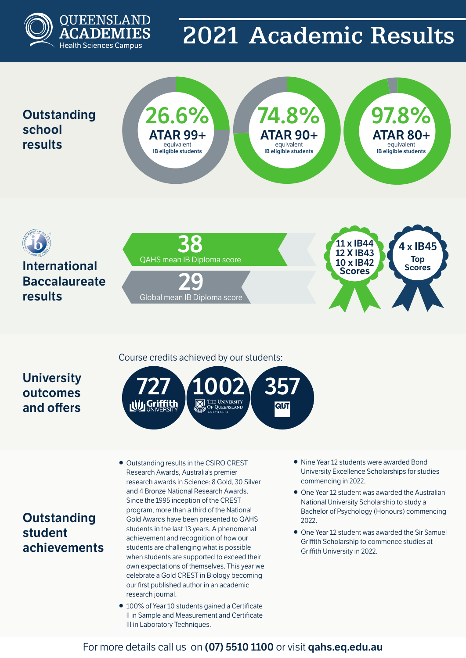

# 2021 Academic Results

## **Outstanding school results**





## **University outcomes and offers**

### Course credits achieved by our students:



- **Outstanding student achievements**
- Outstanding results in the CSIRO CREST Research Awards, Australia's premier research awards in Science: 8 Gold, 30 Silver and 4 Bronze National Research Awards. Since the 1995 inception of the CREST program, more than a third of the National Gold Awards have been presented to QAHS students in the last 13 years. A phenomenal achievement and recognition of how our students are challenging what is possible when students are supported to exceed their own expectations of themselves. This year we celebrate a Gold CREST in Biology becoming our first published author in an academic research journal.
- 100% of Year 10 students gained a Certificate II in Sample and Measurement and Certificate III in Laboratory Techniques.
- Nine Year 12 students were awarded Bond University Excellence Scholarships for studies commencing in 2022.
- One Year 12 student was awarded the Australian National University Scholarship to study a Bachelor of Psychology (Honours) commencing 2022.
- One Year 12 student was awarded the Sir Samuel Griffith Scholarship to commence studies at Griffith University in 2022.

### For more details call us on **(07) 5510 1100** or visit **qahs.eq.edu.au**